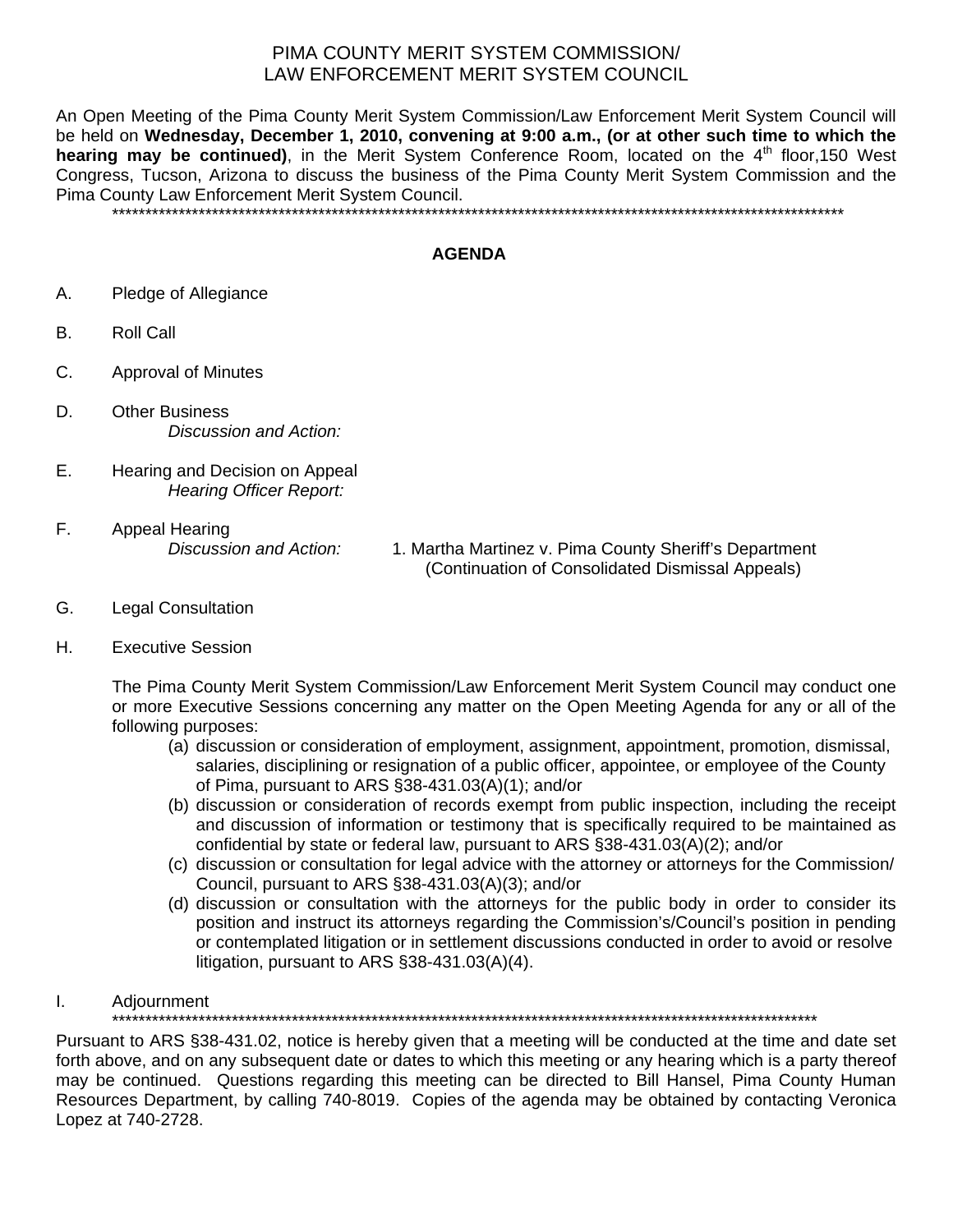## PIMA COUNTY MERIT SYSTEM COMMISSION/ LAW ENFORCEMENT MERIT SYSTEM COUNCIL

An Open Meeting of the Pima County Merit System Commission/Law Enforcement Merit System Council will be held on **Wednesday, December 1, 2010, convening at 9:00 a.m., (or at other such time to which the**  hearing may be continued), in the Merit System Conference Room, located on the 4<sup>th</sup> floor, 150 West Congress, Tucson, Arizona to discuss the business of the Pima County Merit System Commission and the Pima County Law Enforcement Merit System Council.

\*\*\*\*\*\*\*\*\*\*\*\*\*\*\*\*\*\*\*\*\*\*\*\*\*\*\*\*\*\*\*\*\*\*\*\*\*\*\*\*\*\*\*\*\*\*\*\*\*\*\*\*\*\*\*\*\*\*\*\*\*\*\*\*\*\*\*\*\*\*\*\*\*\*\*\*\*\*\*\*\*\*\*\*\*\*\*\*\*\*\*\*\*\*\*\*\*\*\*\*\*\*\*\*\*\*\*\*\*\*

## **AGENDA**

- A. Pledge of Allegiance
- B. Roll Call
- C. Approval of Minutes
- D. Other Business *Discussion and Action:*
- E. Hearing and Decision on Appeal *Hearing Officer Report:*
- F. Appeal Hearing

*Discussion and Action:* 1. Martha Martinez v. Pima County Sheriff's Department (Continuation of Consolidated Dismissal Appeals)

- G. Legal Consultation
- H. Executive Session

The Pima County Merit System Commission/Law Enforcement Merit System Council may conduct one or more Executive Sessions concerning any matter on the Open Meeting Agenda for any or all of the following purposes:

- (a) discussion or consideration of employment, assignment, appointment, promotion, dismissal, salaries, disciplining or resignation of a public officer, appointee, or employee of the County of Pima, pursuant to ARS §38-431.03(A)(1); and/or
- (b) discussion or consideration of records exempt from public inspection, including the receipt and discussion of information or testimony that is specifically required to be maintained as confidential by state or federal law, pursuant to ARS §38-431.03(A)(2); and/or
- (c) discussion or consultation for legal advice with the attorney or attorneys for the Commission/ Council, pursuant to ARS §38-431.03(A)(3); and/or
- (d) discussion or consultation with the attorneys for the public body in order to consider its position and instruct its attorneys regarding the Commission's/Council's position in pending or contemplated litigation or in settlement discussions conducted in order to avoid or resolve litigation, pursuant to ARS §38-431.03(A)(4).

## I. Adjournment

\*\*\*\*\*\*\*\*\*\*\*\*\*\*\*\*\*\*\*\*\*\*\*\*\*\*\*\*\*\*\*\*\*\*\*\*\*\*\*\*\*\*\*\*\*\*\*\*\*\*\*\*\*\*\*\*\*\*\*\*\*\*\*\*\*\*\*\*\*\*\*\*\*\*\*\*\*\*\*\*\*\*\*\*\*\*\*\*\*\*\*\*\*\*\*\*\*\*\*\*\*\*\*\*\*\*

Pursuant to ARS §38-431.02, notice is hereby given that a meeting will be conducted at the time and date set forth above, and on any subsequent date or dates to which this meeting or any hearing which is a party thereof may be continued. Questions regarding this meeting can be directed to Bill Hansel, Pima County Human Resources Department, by calling 740-8019. Copies of the agenda may be obtained by contacting Veronica Lopez at 740-2728.